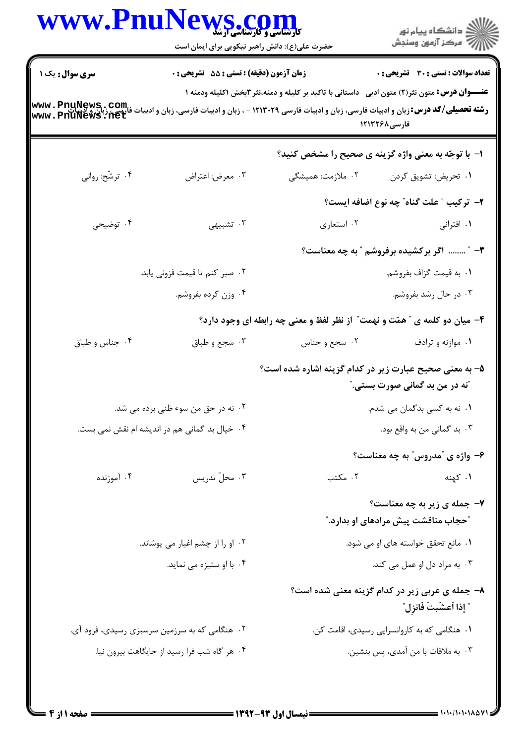| www.Pnu                                                       | WS.COM<br>حضرت علی(ع): دانش راهبر نیکویی برای ایمان است                                                                                                                                                                                                                         |                                                                           | ڪ دانشڪاه پيا <sub>م</sub> نور<br>∕ مرڪز آزمون وسنڊش                      |  |
|---------------------------------------------------------------|---------------------------------------------------------------------------------------------------------------------------------------------------------------------------------------------------------------------------------------------------------------------------------|---------------------------------------------------------------------------|---------------------------------------------------------------------------|--|
| <b>سری سوال:</b> یک ۱                                         | <b>زمان آزمون (دقیقه) : تستی : 55 تشریحی : 0</b><br><b>عنــــوان درس:</b> متون نثر(۲) متون ادبی- داستانی با تاکید بر کلیله و دمنه،نثر ۳بخش ۱کلیله ودمنه ۱<br><b>رشته تحصیلی/کد درس:</b> زبان و ادبیات فارسی، زبان و ادبیات فارسی ۱۲۱۳۰۲۹ - ، زبان و ادبیات فارسی، زبان و ادبیات |                                                                           | تعداد سوالات : تستى : 30 قشريحى : 0                                       |  |
| .com - PnuNews .com<br>فارسي، زبان و ادسات<br>www.PnuNews.net |                                                                                                                                                                                                                                                                                 |                                                                           | فارسی1۲۱۳۲۶۸                                                              |  |
|                                                               |                                                                                                                                                                                                                                                                                 |                                                                           | ا- با توجّه به معنی واژه گزینه ی صحیح را مشخص کنید؟                       |  |
| ۰۴ ترشّح: روانی                                               | ۰۳ معرض: اعتراض                                                                                                                                                                                                                                                                 | ۰۲ ملازمت: همیشگی                                                         | ٠١ تحريض: تشويق كردن                                                      |  |
|                                                               |                                                                                                                                                                                                                                                                                 |                                                                           | ۲- تركيب ″ علت گناه″ چه نوع اضافه ايست؟                                   |  |
| ۰۴ توضیحی                                                     | ۰۳ تشبیهی                                                                                                                                                                                                                                                                       | ۰۲ استعاري                                                                | ۰۱ اقترانی                                                                |  |
|                                                               |                                                                                                                                                                                                                                                                                 | ۳- ″  اگر برکشیده برفروشم ″ به چه معناست؟                                 |                                                                           |  |
|                                                               | ٢.  صبر كنم تا قيمت فزونى يابد.                                                                                                                                                                                                                                                 |                                                                           | ۰۱ به قیمت گزاف بفروشم.                                                   |  |
|                                                               | ۰۴ وزن کرده بفروشم.                                                                                                                                                                                                                                                             |                                                                           | ۰۳ در حال رشد بفروشم.                                                     |  |
|                                                               |                                                                                                                                                                                                                                                                                 | ۴- میان دو کلمه ی " همّت و نهمت" از نظر لفظ و معنی چه رابطه ای وجود دارد؟ |                                                                           |  |
| ۰۴ جناس و طباق                                                | ۰۳ سجع و طباق                                                                                                                                                                                                                                                                   | ۰۲ سجع و جناس                                                             | ۰۱ موازنه و ترادف                                                         |  |
|                                                               |                                                                                                                                                                                                                                                                                 | ۵– به معنی صحیح عبارت زیر در کدام گزینه اشاره شده است؟                    | <b>ّنه در من بد گمانی صورت بستی. ؒ</b>                                    |  |
|                                                               | ۰۲ نه در حق من سوء ظنی برده می شد.                                                                                                                                                                                                                                              | ۰۱ نه به کسی بدگمان می شدم.                                               |                                                                           |  |
|                                                               | ۰۴ خیال بد گمانی هم در اندیشه ام نقش نمی بست.                                                                                                                                                                                                                                   |                                                                           | ۰۳ بد گمانی من به واقع بود.                                               |  |
|                                                               |                                                                                                                                                                                                                                                                                 |                                                                           | ۶- واژه ی "مدروس" به چه معناست؟                                           |  |
| ۰۴ آموزنده                                                    | ۰۳ محلّ تدريس                                                                                                                                                                                                                                                                   | ۰۲ مکتب                                                                   | <b>۱.</b> کهنه است.                                                       |  |
|                                                               |                                                                                                                                                                                                                                                                                 |                                                                           | ۷- جمله ی زیر به چه معناست؟<br><b>"حجاب مناقشت پیش مرادهای او بدارد."</b> |  |
|                                                               | ۰۲ او را از چشم اغیار می پوشاند.                                                                                                                                                                                                                                                | ۰۱ مانع تحقق خواسته های او می شود.                                        |                                                                           |  |
|                                                               | ۰۴ با او ستیزه می نماید.                                                                                                                                                                                                                                                        |                                                                           | ۰۳ به مراد دل او عمل می کند.                                              |  |
|                                                               |                                                                                                                                                                                                                                                                                 |                                                                           | ۸- جمله ی عربی زیر در کدام گزینه معنی شده است؟<br>ً إذا أعشّبتَ فَانزِل ّ |  |
|                                                               | ۰۲ هنگامی که به سرزمین سرسبزی رسیدی، فرود آی.                                                                                                                                                                                                                                   | ۰۱ هنگامی که به کاروانسرایی رسیدی، اقامت کن.                              |                                                                           |  |
|                                                               | ۰۴ هر گاه شب فرا رسید از جایگاهت بیرون نیا.                                                                                                                                                                                                                                     |                                                                           | ۰۳ به ملاقات با من آمدی، پس بنشین.                                        |  |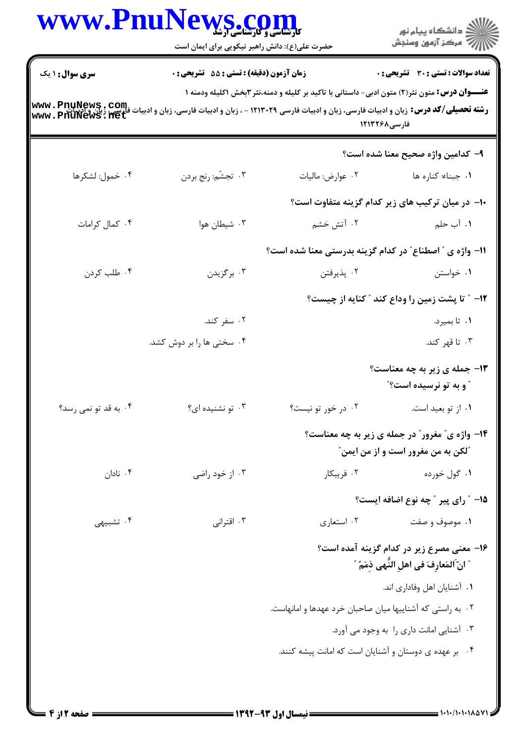| www.PnuNev             | <b>کارشناسی و کارشناسی ارشد</b><br>حضرت علی(ع): دانش راهبر نیکویی برای ایمان است                                                                                   |                                          | ڪ دانشڪاه پيام نور<br>7 مرڪز آزمون وسنڊش                                                       |
|------------------------|--------------------------------------------------------------------------------------------------------------------------------------------------------------------|------------------------------------------|------------------------------------------------------------------------------------------------|
| <b>سری سوال :</b> ۱ یک | زمان آزمون (دقیقه) : تستی : 55 آتشریحی : 0<br><b>عنـــوان درس:</b> متون نثر(۲) متون ادبی- داستانی با تاکید بر کلیله و دمنه،نثر ۳بخش ۱کلیله ودمنه ۱<br>فارسی1۲۱۳۲۶۸ |                                          | تعداد سوالات : تستي : 30 ٪ تشريحي : 0                                                          |
|                        |                                                                                                                                                                    |                                          | ۹– كدامين واژه صحيح معنا شده است؟                                                              |
| ۰۴ خمول: لشكرها        | ۰۳ تجشّم: رنج بردن                                                                                                                                                 | ٠٢ عوارض: ماليات                         | ۰۱ جبناء: کناره ها                                                                             |
|                        |                                                                                                                                                                    |                                          | ∙ا− در میان ترکیب های زیر کدام گزینه متفاوت است؟                                               |
| ۰۴ کمال کرامات         | ۰۳ شیطان هوا                                                                                                                                                       | ۰۲ آتش خشم                               | ١. آب حلم                                                                                      |
|                        |                                                                                                                                                                    |                                          | 11- واژه ی " اصطناع" در کدام گزینه بدرستی معنا شده است؟                                        |
| ۰۴ طلب کردن            | ۰۳ برگزیدن                                                                                                                                                         | ۰۲ پذيرفتن                               | ۰۱ خواستن                                                                                      |
|                        |                                                                                                                                                                    |                                          | <b>۱۲</b> - ″ تا پشت زمین را وداع کند ″ کنایه از چیست؟                                         |
|                        | ۰۲ سفر کند.                                                                                                                                                        |                                          | ۰۱ تا بمیرد.                                                                                   |
|                        | ۰۴ سختی ها را بر دوش کشد.                                                                                                                                          |                                          | ۰۳ تا قهر کند.                                                                                 |
|                        |                                                                                                                                                                    |                                          | <b>۱۳- جمله ی زیر به چه معناست؟</b><br><b>"و به تو نرسیده است؟"</b>                            |
| ۰۴ به قد تو نمی رسد؟   | ۰۳ تو نشنیده ای؟                                                                                                                                                   | ۰۲ در خور تو نیست؟                       | ۰۱ از تو بعید است.                                                                             |
|                        |                                                                                                                                                                    |                                          | <b>۱۴- واژه ی ؒ مغرور ؒ در جمله ی زیر به چه معناست؟</b><br>ًلكن به من مغرور است و از من ايمن ً |
| ۰۴ نادان               | ۰۳ از خود راضی                                                                                                                                                     | ۰۲ فریبکار                               | ۰۱ گول خورده                                                                                   |
|                        |                                                                                                                                                                    |                                          | 1۵- ″ رای پیر ″ چه نوع اضافه ایست؟                                                             |
| ۰۴ تشبیهی              | ۰۳ اقترانی                                                                                                                                                         | ۰۲ استعاري                               | ۰۱ موصوف و صفت                                                                                 |
|                        |                                                                                                                                                                    |                                          | ۱۶– معنی مصرع زیر در کدام گزینه آمده است؟<br>" انّ المَعارِفَ في اهلِ النّهي ذِمَمٌ "          |
|                        |                                                                                                                                                                    |                                          | ٠١ آشنايان اهل وفاداري اند.                                                                    |
|                        |                                                                                                                                                                    |                                          | ۰۲ به راستی که آشناییها میان صاحبان خرد عهدها و امانهاست.                                      |
|                        |                                                                                                                                                                    | ۰۳ آشنایی امانت داری را به وجود می آورد. |                                                                                                |
|                        |                                                                                                                                                                    |                                          | ۰۴ بر عهده ی دوستان و آشنایان است که امانت پیشه کنند.                                          |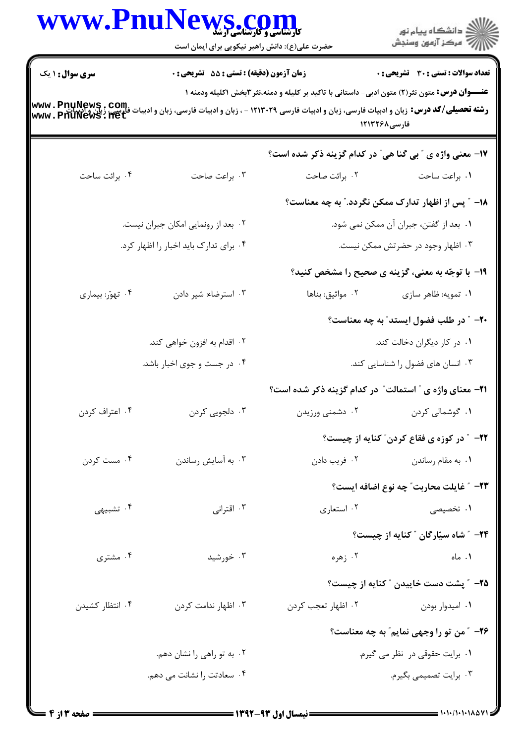|                        | WWW.PnuNews.com<br>حضرت علی(ع): دانش راهبر نیکویی برای ایمان است                                                                                                                                                                           |                                                                | ِ<br>∭ دانشڪاه پيام نور<br>∭ مرڪز آزمون وسنڊش            |
|------------------------|--------------------------------------------------------------------------------------------------------------------------------------------------------------------------------------------------------------------------------------------|----------------------------------------------------------------|----------------------------------------------------------|
| <b>سری سوال : ۱ یک</b> | زمان آزمون (دقیقه) : تستی : 55 آتشریحی : 0                                                                                                                                                                                                 |                                                                | <b>تعداد سوالات : تستی : 30 ٪ تشریحی : 0</b>             |
| www.PnuNews.com        | <b>عنـــوان درس:</b> متون نثر(۲) متون ادبی- داستانی با تاکید بر کلیله و دمنه،نثر ۳بخش ۱کلیله ودمنه ۱<br><b>رشته تحصیلی/کد درس:</b> زبان و ادبیات فارسی، زبان و ادبیات فارسی ۱۲۱۳۰۲۹ - ، زبان و ادبیات فارسی، زبان و ادبیات<br>فارسی1۲۱۳۲۶۸ |                                                                |                                                          |
|                        |                                                                                                                                                                                                                                            | 17- معنی واژه ی " بی گنا هی" در کدام گزینه ذکر شده است؟        |                                                          |
| ۰۴ برائت ساحت          | ۰۳ براعت صاحت                                                                                                                                                                                                                              | ٠٢ برائت صاحت                                                  | ٠١. براعت ساحت                                           |
|                        |                                                                                                                                                                                                                                            |                                                                | ۱۸– ″ پس از اظهار تدارک ممکن نگردد.″ به چه معناست؟       |
|                        | ۰۲ بعد از رونمایی امکان جبران نیست.                                                                                                                                                                                                        |                                                                | ٠١ بعد از گفتن، جبران آن ممكن نمي شود.                   |
|                        | ۰۴ برای تدارک باید اخبار را اظهار کرد.                                                                                                                                                                                                     | ۰۳ اظهار وجود در حضرتش ممکن نیست.                              |                                                          |
|                        |                                                                                                                                                                                                                                            |                                                                | <b>۱۹</b> - با توجّه به معنی، گزینه ی صحیح را مشخص کنید؟ |
| ۰۴ تهوّر: بیماری       | ۰۳ استرضاء: شیر دادن                                                                                                                                                                                                                       | ۰۲ مواثيق: بناها                                               | ۰۱ تمويه: ظاهر سازي                                      |
|                        |                                                                                                                                                                                                                                            |                                                                | ۲۰- ″ در طلب فضول ایستد″ به چه معناست؟                   |
|                        | ۰۲ اقدام به افزون خواهی کند.                                                                                                                                                                                                               |                                                                | ۰۱ در کار دیگران دخالت کند.                              |
|                        | ۰۴ در جست و جوی اخبار باشد.                                                                                                                                                                                                                |                                                                | ۰۳ انسان های فضول را شناسایی کند.                        |
|                        |                                                                                                                                                                                                                                            | <b>۲۱</b> - معنای واژه ی " استمالت" در کدام گزینه ذکر شده است؟ |                                                          |
| ۰۴ اعتراف کردن         | ۰۳ دلجويي کردن                                                                                                                                                                                                                             | ۰۲ دشمنی ورزیدن                                                | ۰۱ گوشمالی کردن                                          |
|                        |                                                                                                                                                                                                                                            |                                                                | <b>۲۲-</b> ″ در کوزه ی فقاع کردن″ کنایه از چیست؟         |
| ۰۴ مست کردن            | ۰۳ به آسایش رساندن                                                                                                                                                                                                                         |                                                                | ۰۱ به مقام رساندن مسلم استان می به دادن                  |
|                        |                                                                                                                                                                                                                                            |                                                                | ٢٣- ″ غايلت محاربت″ چه نوع اضافه ايست؟                   |
| ۰۴ تشبیهی              | ۰۳ اقترانی                                                                                                                                                                                                                                 | ۰۲ استعاري                                                     | <b>۱.</b> تخصیصی                                         |
|                        |                                                                                                                                                                                                                                            |                                                                | <b>۲۴</b> – ″شاه سیّارگان ″ کنایه از چیست؟               |
| ۰۴ مشتری               | ۰۳ خورشید                                                                                                                                                                                                                                  |                                                                | ۰۲ زهره<br>۰۱ ماه                                        |
|                        |                                                                                                                                                                                                                                            |                                                                | ۲۵– ″ پشت دست خاییدن ″ کنایه از چیست؟                    |
| ۰۴ انتظار کشیدن        | ۰۳ اظهار ندامت کردن                                                                                                                                                                                                                        | ۰۲ اظهار تعجب کردن                                             | ۰۱ امیدوار بودن                                          |
|                        |                                                                                                                                                                                                                                            |                                                                | ۲۶- ″من تو را وجهی نمایم″ به چه معناست؟                  |
|                        | ۰۲ به تو راهي را نشان دهم.                                                                                                                                                                                                                 |                                                                | ٠١. برايت حقوقى در نظر مى گيرم.                          |
|                        | ۰۴ سعادتت را نشانت می دهم.                                                                                                                                                                                                                 |                                                                | ۰۳ برایت تصمیمی بگیرم.                                   |